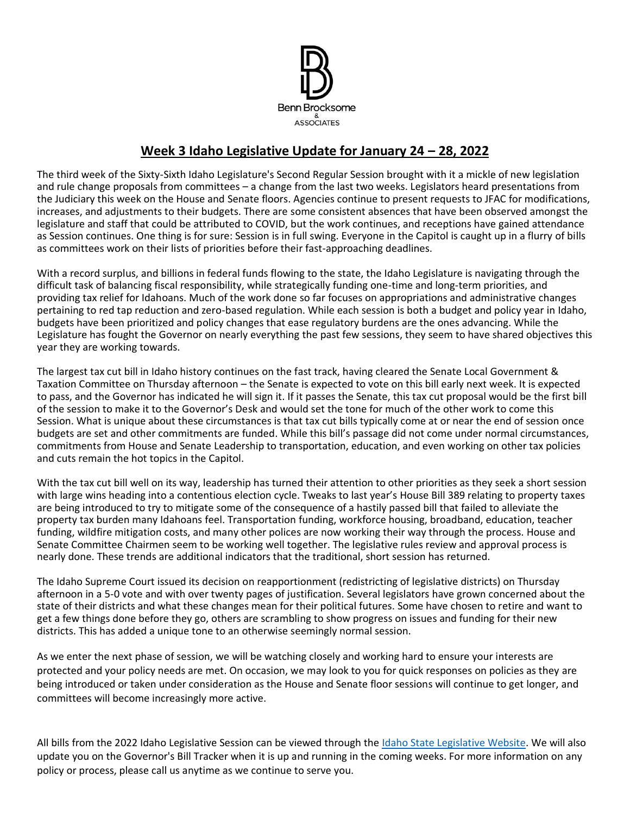

# **Week 3 Idaho Legislative Update for January 24 – 28, 2022**

The third week of the Sixty-Sixth Idaho Legislature's Second Regular Session brought with it a mickle of new legislation and rule change proposals from committees – a change from the last two weeks. Legislators heard presentations from the Judiciary this week on the House and Senate floors. Agencies continue to present requests to JFAC for modifications, increases, and adjustments to their budgets. There are some consistent absences that have been observed amongst the legislature and staff that could be attributed to COVID, but the work continues, and receptions have gained attendance as Session continues. One thing is for sure: Session is in full swing. Everyone in the Capitol is caught up in a flurry of bills as committees work on their lists of priorities before their fast-approaching deadlines.

With a record surplus, and billions in federal funds flowing to the state, the Idaho Legislature is navigating through the difficult task of balancing fiscal responsibility, while strategically funding one-time and long-term priorities, and providing tax relief for Idahoans. Much of the work done so far focuses on appropriations and administrative changes pertaining to red tap reduction and zero-based regulation. While each session is both a budget and policy year in Idaho, budgets have been prioritized and policy changes that ease regulatory burdens are the ones advancing. While the Legislature has fought the Governor on nearly everything the past few sessions, they seem to have shared objectives this year they are working towards.

The largest tax cut bill in Idaho history continues on the fast track, having cleared the Senate Local Government & Taxation Committee on Thursday afternoon – the Senate is expected to vote on this bill early next week. It is expected to pass, and the Governor has indicated he will sign it. If it passes the Senate, this tax cut proposal would be the first bill of the session to make it to the Governor's Desk and would set the tone for much of the other work to come this Session. What is unique about these circumstances is that tax cut bills typically come at or near the end of session once budgets are set and other commitments are funded. While this bill's passage did not come under normal circumstances, commitments from House and Senate Leadership to transportation, education, and even working on other tax policies and cuts remain the hot topics in the Capitol.

With the tax cut bill well on its way, leadership has turned their attention to other priorities as they seek a short session with large wins heading into a contentious election cycle. Tweaks to last year's House Bill 389 relating to property taxes are being introduced to try to mitigate some of the consequence of a hastily passed bill that failed to alleviate the property tax burden many Idahoans feel. Transportation funding, workforce housing, broadband, education, teacher funding, wildfire mitigation costs, and many other polices are now working their way through the process. House and Senate Committee Chairmen seem to be working well together. The legislative rules review and approval process is nearly done. These trends are additional indicators that the traditional, short session has returned.

The Idaho Supreme Court issued its decision on reapportionment (redistricting of legislative districts) on Thursday afternoon in a 5-0 vote and with over twenty pages of justification. Several legislators have grown concerned about the state of their districts and what these changes mean for their political futures. Some have chosen to retire and want to get a few things done before they go, others are scrambling to show progress on issues and funding for their new districts. This has added a unique tone to an otherwise seemingly normal session.

As we enter the next phase of session, we will be watching closely and working hard to ensure your interests are protected and your policy needs are met. On occasion, we may look to you for quick responses on policies as they are being introduced or taken under consideration as the House and Senate floor sessions will continue to get longer, and committees will become increasingly more active.

All bills from the 2022 Idaho Legislative Session can be viewed through the [Idaho State Legislative Website.](https://legislature.idaho.gov/sessioninfo/) We will also update you on the Governor's Bill Tracker when it is up and running in the coming weeks. For more information on any policy or process, please call us anytime as we continue to serve you.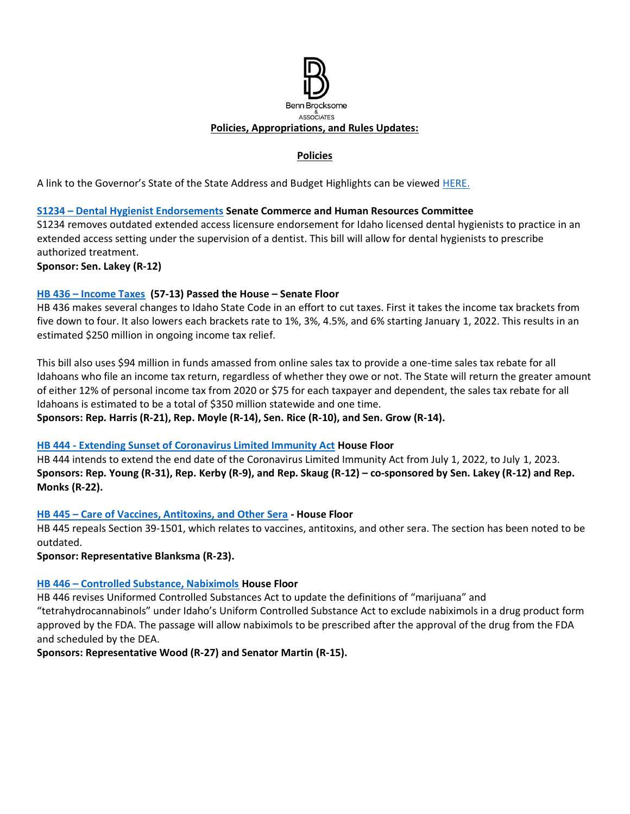

# **Policies**

A link to the Governor's State of the State Address and Budget Highlights can be viewed [HERE.](https://gov.idaho.gov/pressrelease/gov-little-highlights-plan-for-education-investments-tax-relief-in-2022-state-of-the-state-and-budget-address/)

## **S1234 – [Dental Hygienist Endorsements](https://legislature.idaho.gov/sessioninfo/2022/legislation/S1234/) Senate Commerce and Human Resources Committee**

S1234 removes outdated extended access licensure endorsement for Idaho licensed dental hygienists to practice in an extended access setting under the supervision of a dentist. This bill will allow for dental hygienists to prescribe authorized treatment.

**Sponsor: Sen. Lakey (R-12)**

#### **HB 436 – [Income Taxes](https://legislature.idaho.gov/sessioninfo/2022/legislation/H0436/) (57-13) Passed the House – Senate Floor**

HB 436 makes several changes to Idaho State Code in an effort to cut taxes. First it takes the income tax brackets from five down to four. It also lowers each brackets rate to 1%, 3%, 4.5%, and 6% starting January 1, 2022. This results in an estimated \$250 million in ongoing income tax relief.

This bill also uses \$94 million in funds amassed from online sales tax to provide a one-time sales tax rebate for all Idahoans who file an income tax return, regardless of whether they owe or not. The State will return the greater amount of either 12% of personal income tax from 2020 or \$75 for each taxpayer and dependent, the sales tax rebate for all Idahoans is estimated to be a total of \$350 million statewide and one time.

**Sponsors: Rep. Harris (R-21), Rep. Moyle (R-14), Sen. Rice (R-10), and Sen. Grow (R-14).**

## **HB 444 - [Extending Sunset of Coronavirus Limited Immunity Act](https://legislature.idaho.gov/sessioninfo/2022/legislation/H0444/) House Floor**

HB 444 intends to extend the end date of the Coronavirus Limited Immunity Act from July 1, 2022, to July 1, 2023. **Sponsors: Rep. Young (R-31), Rep. Kerby (R-9), and Rep. Skaug (R-12) – co-sponsored by Sen. Lakey (R-12) and Rep. Monks (R-22).**

## **HB 445 – [Care of Vaccines, Antitoxins, and Other Sera](https://legislature.idaho.gov/wp-content/uploads/sessioninfo/2022/legislation/H0445.pdf) - House Floor**

HB 445 repeals Section 39-1501, which relates to vaccines, antitoxins, and other sera. The section has been noted to be outdated.

**Sponsor: Representative Blanksma (R-23).**

## **HB 446 – [Controlled Substance, Nabiximols](https://legislature.idaho.gov/sessioninfo/2022/legislation/H0446/) House Floor**

HB 446 revises Uniformed Controlled Substances Act to update the definitions of "marijuana" and "tetrahydrocannabinols" under Idaho's Uniform Controlled Substance Act to exclude nabiximols in a drug product form approved by the FDA. The passage will allow nabiximols to be prescribed after the approval of the drug from the FDA and scheduled by the DEA.

**Sponsors: Representative Wood (R-27) and Senator Martin (R-15).**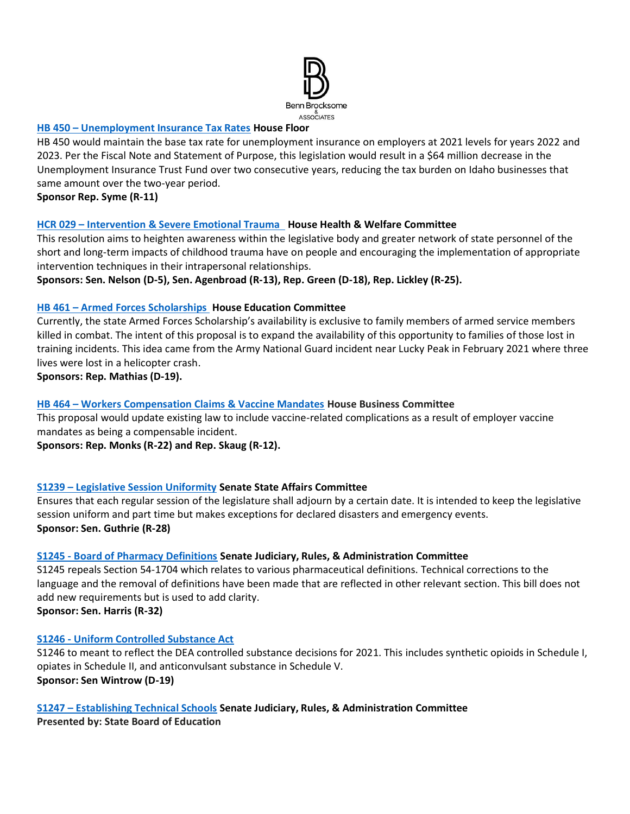

## **HB 450 – [Unemployment Insurance Tax Rates](https://legislature.idaho.gov/sessioninfo/2022/legislation/H0450/) House Floor**

HB 450 would maintain the base tax rate for unemployment insurance on employers at 2021 levels for years 2022 and 2023. Per the Fiscal Note and Statement of Purpose, this legislation would result in a \$64 million decrease in the Unemployment Insurance Trust Fund over two consecutive years, reducing the tax burden on Idaho businesses that same amount over the two-year period.

**Sponsor Rep. Syme (R-11)**

#### **HCR 029 – [Intervention & Severe Emotional Trauma](https://legislature.idaho.gov/sessioninfo/2022/legislation/HCR029/) House Health & Welfare Committee**

This resolution aims to heighten awareness within the legislative body and greater network of state personnel of the short and long-term impacts of childhood trauma have on people and encouraging the implementation of appropriate intervention techniques in their intrapersonal relationships.

**Sponsors: Sen. Nelson (D-5), Sen. Agenbroad (R-13), Rep. Green (D-18), Rep. Lickley (R-25).**

#### **HB 461 – [Armed Forces Scholarships](https://legislature.idaho.gov/sessioninfo/2022/legislation/H0461) House Education Committee**

Currently, the state Armed Forces Scholarship's availability is exclusive to family members of armed service members killed in combat. The intent of this proposal is to expand the availability of this opportunity to families of those lost in training incidents. This idea came from the Army National Guard incident near Lucky Peak in February 2021 where three lives were lost in a helicopter crash.

**Sponsors: Rep. Mathias (D-19).**

## **HB 464 – [Workers Compensation Claims & Vaccine Mandates](https://legislature.idaho.gov/sessioninfo/2022/legislation/H0464/) House Business Committee**

This proposal would update existing law to include vaccine-related complications as a result of employer vaccine mandates as being a compensable incident.

**Sponsors: Rep. Monks (R-22) and Rep. Skaug (R-12).**

## **S1239 – [Legislative Session Uniformity](https://legislature.idaho.gov/sessioninfo/2022/legislation/S1239/) Senate State Affairs Committee**

Ensures that each regular session of the legislature shall adjourn by a certain date. It is intended to keep the legislative session uniform and part time but makes exceptions for declared disasters and emergency events. **Sponsor: Sen. Guthrie (R-28)**

#### **S1245 - [Board of Pharmacy Definitions](https://legislature.idaho.gov/sessioninfo/2022/legislation/S1245/) Senate Judiciary, Rules, & Administration Committee**

S1245 repeals Section 54-1704 which relates to various pharmaceutical definitions. Technical corrections to the language and the removal of definitions have been made that are reflected in other relevant section. This bill does not add new requirements but is used to add clarity. **Sponsor: Sen. Harris (R-32)**

#### **S1246 - [Uniform Controlled Substance Act](https://legislature.idaho.gov/sessioninfo/2022/legislation/S1246/)**

S1246 to meant to reflect the DEA controlled substance decisions for 2021. This includes synthetic opioids in Schedule I, opiates in Schedule II, and anticonvulsant substance in Schedule V. **Sponsor: Sen Wintrow (D-19)** 

#### **S1247 – [Establishing Technical Schools](https://legislature.idaho.gov/sessioninfo/2022/legislation/S1247/) Senate Judiciary, Rules, & Administration Committee**

**Presented by: State Board of Education**